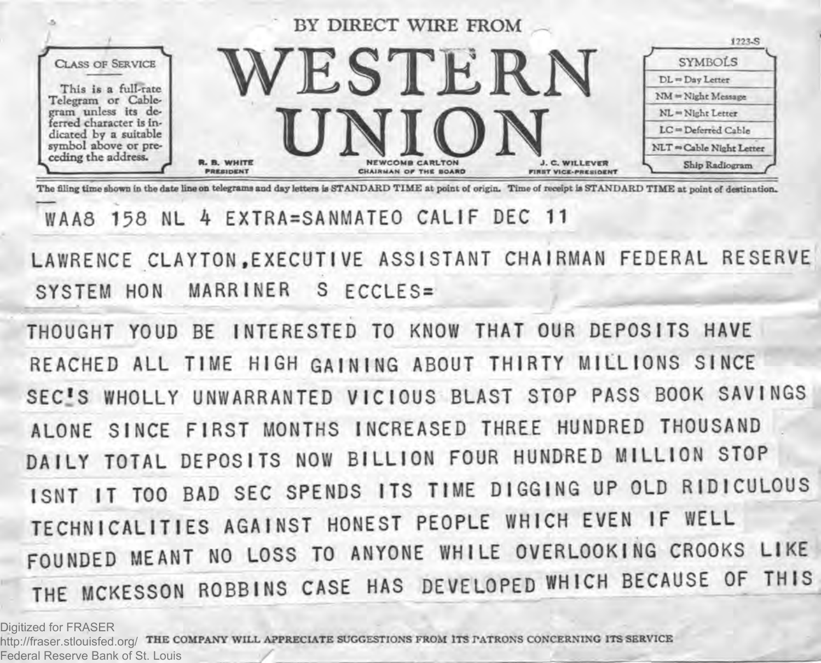

The filing time shown in the date line on telegrams and day letters is STANDARD TIME at point of origin. Time of receipt is STANDARD TIME at point of destination.

## WAA8 158 NL 4 EXTRA=SANMATEO CALIF DEC 11

**LAWRENCE CLAYTON .EXECUTIVE ASSISTANT CHAIRMAN FEDERAL RESERVE SYSTEM HON MARRINER S ECCLES=**

THOUGHT YOUD BE INTERESTED TO KNOW THAT OUR DEPOSITS HAVE REACHED ALL TIME HIGH GAINING ABOUT THIRTY MILLIONS SINCE SEC<sup>1</sup>S WHOLLY UNWARRANTED VICIOUS BLAST STOP PASS BOOK SAVINGS ALONE SINCE FIRST MONTHS INCREASED THREE HUNDRED THOUSAND **DAILY TOTAL DEPOSITS NOW BILLION FOUR HUNDRED MILLION STOP ISNT IT TOO BAD SEC SPENDS ITS TIME DIGGING UP OLD RIDICULOUS TECHNICALITIES AGAINST HONEST PEOPLE WHICH EVEN IF WELL** FOUNDED MEANT NO LOSS TO ANYONE WHILE OVERLOOKING CROOKS LIKE THE MCKESSON ROBBINS CASE HAS DEVELOPED WHICH BECAUSE OF THIS

Digitized for FRASER

http://fraser.stlouisfed.org/ THE COMPANY WILL APPRECIATE SUGGESTIONS FROM ITS PATRONS CONCERNING ITS SERVICE Federal Reserve Bank of St. Louis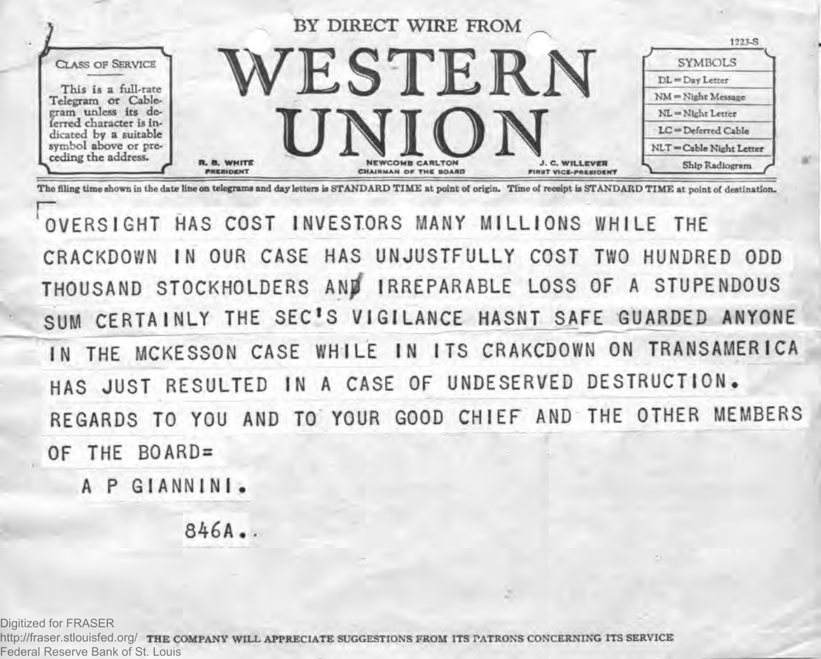

The filing time shown in the date line on telegrams and day letters is STANDARD TIME at point of origin. Time of receipt is STANDARD TIME at point of destination.

 **o v e r s ig h t has cost in vesto rs many m il l io n s w h ile the** CRACKDOWN IN OUR CASE HAS UNJUSTFULLY COST TWO HUNDRED ODD **THOUSAND STOCKHOLDERS ANjf IRREPARABLE LOSS OF A STUPENDOUS** SUM CERTAINLY THE SEC'S VIGILANCE HASNT SAFE GUARDED ANYONE IN THE MCKESSON CASE WHILE IN ITS CRAKCDOWN ON TRANSAMERICA HAS JUST RESULTED IN A CASE OF UNDESERVED DESTRUCTION. REGARDS TO YOU AND TO YOUR GOOD CHIEF AND THE OTHER MEMBERS **OF THE B0ARD=**

**A P GI ANN INI.**

**846A..**

Digitized for FRASER

http://fraser.stlouisfed.org/ **THE COMPANY WILL APPRECIATE SUGGESTIONS FROM ITS PATRONS CONCERNING ITS SERVICE** Federal Reserve Bank of St. Louis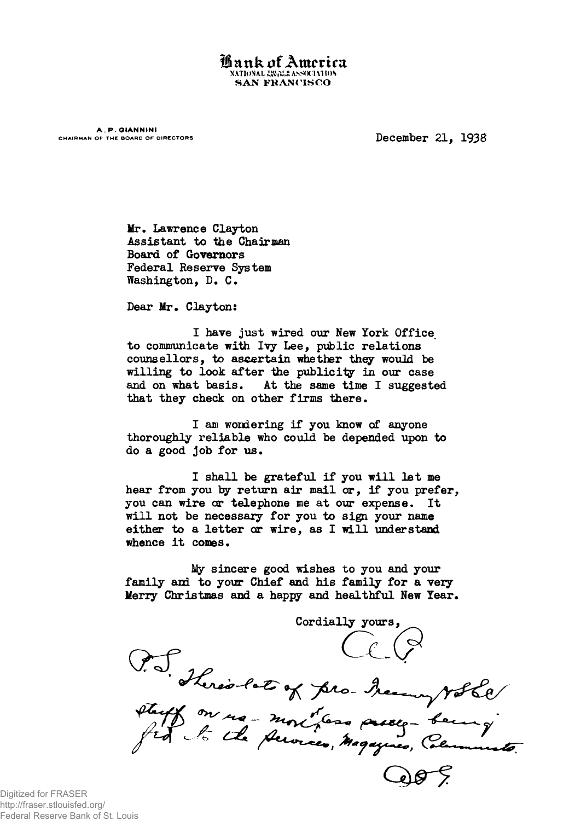Lank of America NATIONAL ERECE ASSOCIATION **SAN FRANCISCO** 

**A. P. GIANNINI**<br>CHAIRMAN OF THE BOARD OF DIRECTORS

December 21, 1938

**Ur. Laurence Clayton Assistant to the Chairman Board of Governors Federal Reserve System Washington, D. C.**

**Dear Ur. Clayton:**

**I have just wired our New York Office to communicate with Ivy Lee, public relations counsellors, to ascertain whether they would be willing to look after the publicity in our case and on what basis. At the same time I suggested that they check on other firms there.**

**I am wondering if you know of anyone thoroughly reliable who could be depended upon to do a good job for us.**

**I shall be grateful if you will let me hear from you by return air mail or, if you prefer, you can wire or telephone me at our expense. It will not be necessary for you to sign your name either to a letter or wire, as I will understand whence it comes.**

**My sincere good wishes to you and your** family and to your Chief and his family for a very **Merry Christmas and a happy and healthful New Year.**

Cordially yours, Pro Sherio lato of pro- Menny volle

Digitized for FRASER http://fraser.stlouisfed.org/ Federal Reserve Bank of St. Louis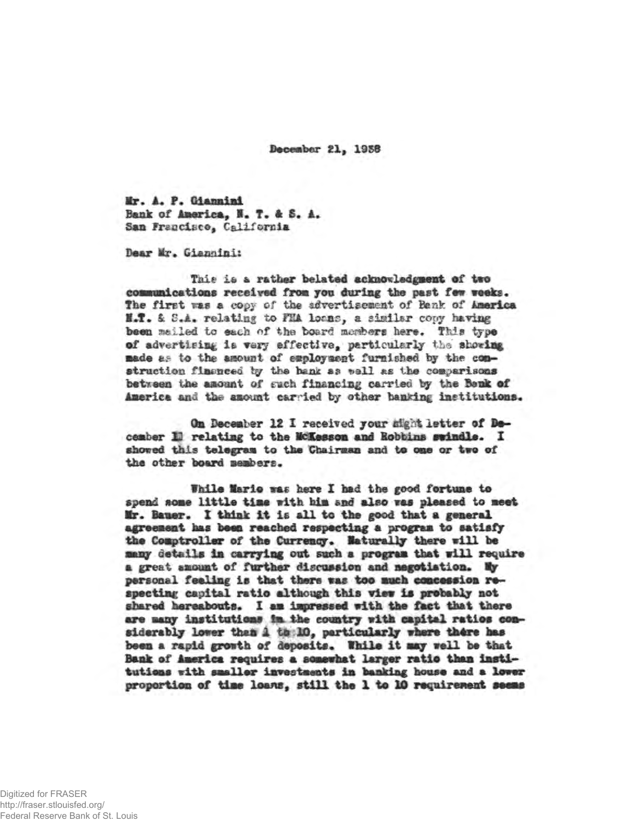**December 21, 1958**

**■r. 4. P. Giannini Bank of America, I. T. A S. A. San Francisco, California**

Dear Mr. Giannini:

Tais is a rather belated acknowledgment of two communications received from you during the past few weeks. The first was a copy of the advertisement of Benk of America H.T. & S.A. relating to FHA loans, a similar copy having been mailed to each of the board members here. This type of advertising is very effective, particularly the showing made as to the amount of employment furnished by the construction finenced by the bank as well as the comparisons between the amount of such financing carried by the Bank of America and the amount carried by other banking institutions.

**On December 12 I received jour night letter of December 1H relating to the McKesson and Bobbins swindle. I showed this telegram to the Chairman and to one or two of the other board members.**

**While Marie vac hers I had the good fortune to spend some little time with him and also was pleased to meet Kr. Bauer. X think it Is all to the good that a general agreement has beam reached respecting a program to satisfy the Comptroller of the Currency, laturally there will be masy details im carrying out such a program that mill require a great amount of further discussion and negotiation,** *Wy* **personal feeling is that there was too much concession re**specting capital ratio although this view is probably not **shared hereabouts. I am impressed with the fact that there** are many institutions in the country with capital ratios considerably lower than 1 the 10, particularly where there has been a rapid growth of deposits. While it may well be that **Bank of America requires a somewhat larger ratio them institutions with smaller investments im banking house and a lower proportion of time loans, still the 1 to 20 requirement seems**